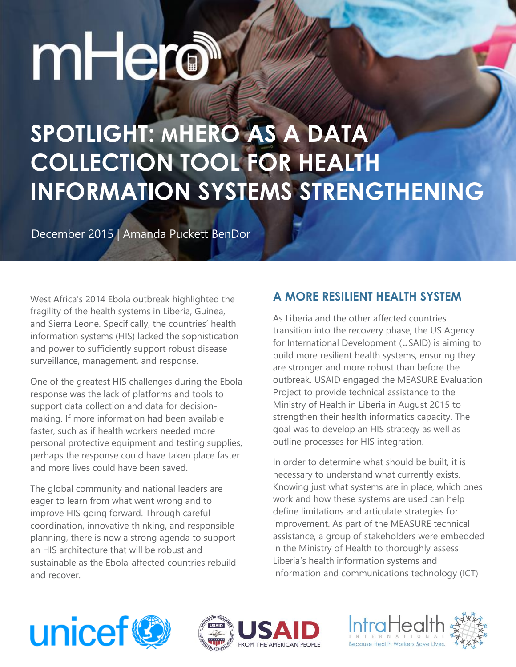# mHero

# **SPOTLIGHT: MHERO AS A DATA COLLECTION TOOL FOR HEALTH INFORMATION SYSTEMS STRENGTHENING**

December 2015 | Amanda Puckett BenDor

West Africa's 2014 Ebola outbreak highlighted the fragility of the health systems in Liberia, Guinea, and Sierra Leone. Specifically, the countries' health information systems (HIS) lacked the sophistication and power to sufficiently support robust disease surveillance, management, and response.

One of the greatest HIS challenges during the Ebola response was the lack of platforms and tools to support data collection and data for decisionmaking. If more information had been available faster, such as if health workers needed more personal protective equipment and testing supplies, perhaps the response could have taken place faster and more lives could have been saved.

The global community and national leaders are eager to learn from what went wrong and to improve HIS going forward. Through careful coordination, innovative thinking, and responsible planning, there is now a strong agenda to support an HIS architecture that will be robust and sustainable as the Ebola-affected countries rebuild and recover.

#### **A MORE RESILIENT HEALTH SYSTEM**

As Liberia and the other affected countries transition into the recovery phase, the US Agency for International Development (USAID) is aiming to build more resilient health systems, ensuring they are stronger and more robust than before the outbreak. USAID engaged the MEASURE Evaluation Project to provide technical assistance to the Ministry of Health in Liberia in August 2015 to strengthen their health informatics capacity. The goal was to develop an HIS strategy as well as outline processes for HIS integration.

In order to determine what should be built, it is necessary to understand what currently exists. Knowing just what systems are in place, which ones work and how these systems are used can help define limitations and articulate strategies for improvement. As part of the MEASURE technical assistance, a group of stakeholders were embedded in the Ministry of Health to thoroughly assess Liberia's health information systems and information and communications technology (ICT)





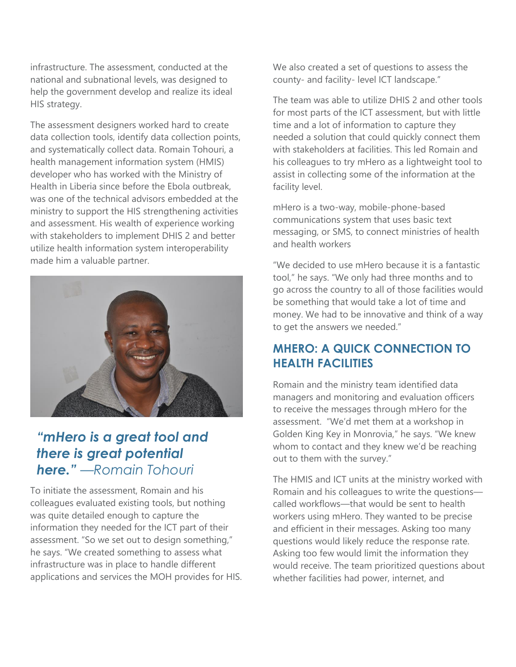infrastructure. The assessment, conducted at the national and subnational levels, was designed to help the government develop and realize its ideal HIS strategy.

The assessment designers worked hard to create data collection tools, identify data collection points, and systematically collect data. Romain Tohouri, a health management information system (HMIS) developer who has worked with the Ministry of Health in Liberia since before the Ebola outbreak, was one of the technical advisors embedded at the ministry to support the HIS strengthening activities and assessment. His wealth of experience working with stakeholders to implement DHIS 2 and better utilize health information system interoperability made him a valuable partner.



### *"mHero is a great tool and there is great potential here." —Romain Tohouri*

To initiate the assessment, Romain and his colleagues evaluated existing tools, but nothing was quite detailed enough to capture the information they needed for the ICT part of their assessment. "So we set out to design something," he says. "We created something to assess what infrastructure was in place to handle different applications and services the MOH provides for HIS. We also created a set of questions to assess the county- and facility- level ICT landscape."

The team was able to utilize DHIS 2 and other tools for most parts of the ICT assessment, but with little time and a lot of information to capture they needed a solution that could quickly connect them with stakeholders at facilities. This led Romain and his colleagues to try mHero as a lightweight tool to assist in collecting some of the information at the facility level.

mHero is a two-way, mobile-phone-based communications system that uses basic text messaging, or SMS, to connect ministries of health and health workers

"We decided to use mHero because it is a fantastic tool," he says. "We only had three months and to go across the country to all of those facilities would be something that would take a lot of time and money. We had to be innovative and think of a way to get the answers we needed."

#### **MHERO: A QUICK CONNECTION TO HEALTH FACILITIES**

Romain and the ministry team identified data managers and monitoring and evaluation officers to receive the messages through mHero for the assessment. "We'd met them at a workshop in Golden King Key in Monrovia," he says. "We knew whom to contact and they knew we'd be reaching out to them with the survey."

The HMIS and ICT units at the ministry worked with Romain and his colleagues to write the questions called workflows—that would be sent to health workers using mHero. They wanted to be precise and efficient in their messages. Asking too many questions would likely reduce the response rate. Asking too few would limit the information they would receive. The team prioritized questions about whether facilities had power, internet, and